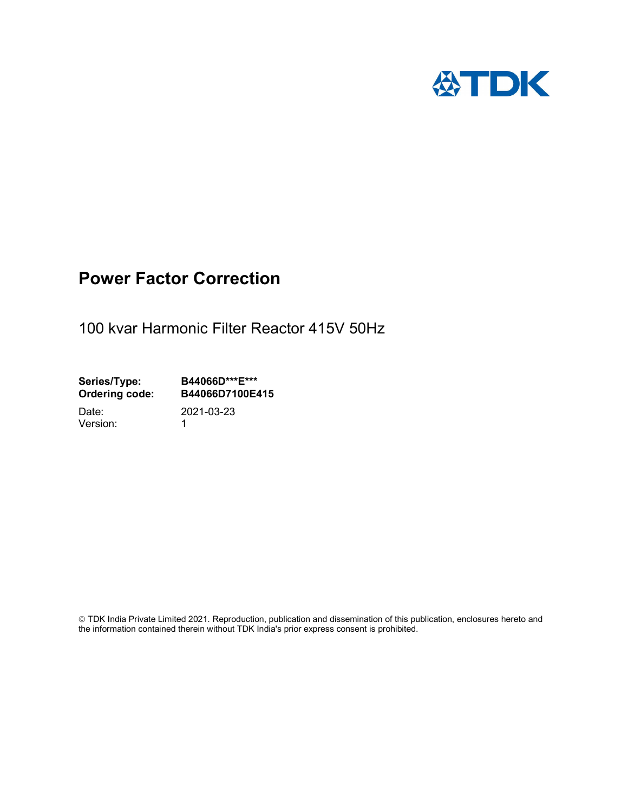

# Power Factor Correction

100 kvar Harmonic Filter Reactor 415V 50Hz

Series/Type: B44066D\*\*\*E\*\*\*<br>Ordering code: B44066D7100E4 B44066D7100E415

Version: 1

Date: 2021-03-23

 TDK India Private Limited 2021. Reproduction, publication and dissemination of this publication, enclosures hereto and the information contained therein without TDK India's prior express consent is prohibited.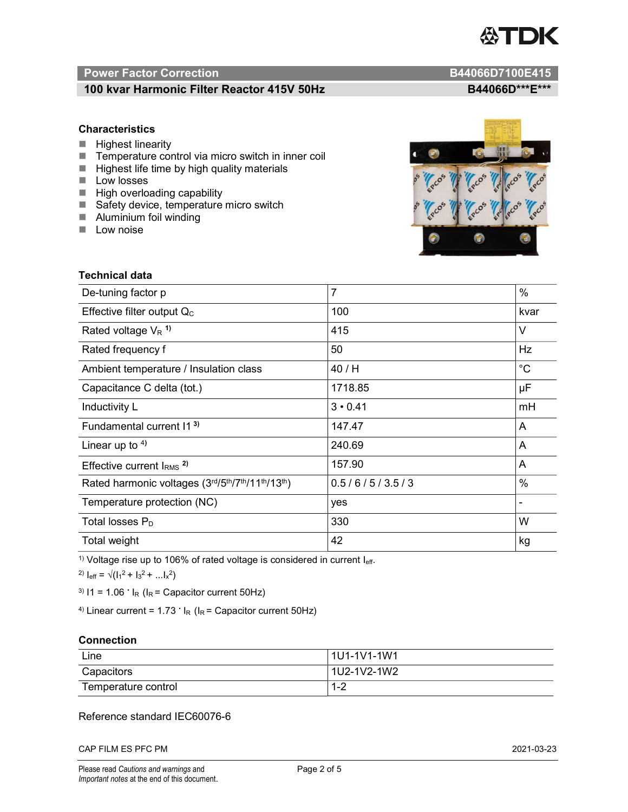

# Power Factor Correction and B44066D7100E415

# 100 kvar Harmonic Filter Reactor 415V 50Hz B44066D\*\*\*E\*\*\*

# **Characteristics**

- $H$  Highest linearity
- Temperature control via micro switch in inner coil
- $\blacksquare$  Highest life time by high quality materials
- **Low losses**
- $\blacksquare$  High overloading capability
- Safety device, temperature micro switch
- **Aluminium foil winding**
- **Low noise**



| <b>Technical data</b>                           |                |             |  |
|-------------------------------------------------|----------------|-------------|--|
| De-tuning factor p                              | $\overline{7}$ | $\%$        |  |
| Effective filter output $Q_C$                   | 100            | kvar        |  |
| Rated voltage $V_R$ <sup>1)</sup>               | 415            | V           |  |
| Rated frequency f                               | 50             | Hz          |  |
| Ambient temperature / Insulation class          | 40 / H         | $^{\circ}C$ |  |
| Capacitance C delta (tot.)                      | 1718.85        | μF          |  |
| Inductivity L                                   | $3 \cdot 0.41$ | mH          |  |
| Fundamental current 11 <sup>3)</sup>            | 147.47         | A           |  |
| Linear up to $4$ )                              | 240.69         | A           |  |
| Effective current $IRMS$ <sup>2)</sup>          | 157.90         | A           |  |
| Rated harmonic voltages (3rd/5th/7th/11th/13th) | 0.5/6/5/3.5/3  | %           |  |
| Temperature protection (NC)                     | yes            |             |  |
| Total losses $P_D$                              | 330            | W           |  |
| Total weight                                    | 42             | kg          |  |

<sup>1)</sup> Voltage rise up to 106% of rated voltage is considered in current  $I_{\text{eff}}$ .

<sup>2)</sup>  $I_{eff} = \sqrt{(I_1^2 + I_3^2 + ... I_x^2)}$ 

<sup>3)</sup>  $11 = 1.06$   $\cdot$   $I_R$  ( $I_R$  = Capacitor current 50Hz)

<sup>4)</sup> Linear current =  $1.73$   $\cdot$  I<sub>R</sub> (I<sub>R</sub> = Capacitor current 50Hz)

### **Connection**

| Line                | 1U1-1V1-1W1   |
|---------------------|---------------|
| Capacitors          | l 1U2-1V2-1W2 |
| Temperature control | 1 O<br>ے- ا   |

# Reference standard IEC60076-6

CAP FILM ES PFC PM 2021-03-23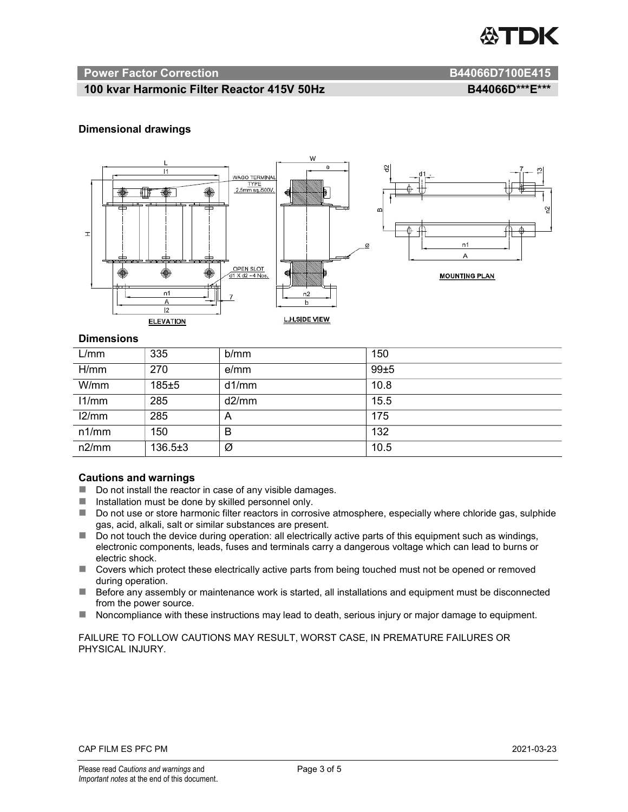

### Power Factor Correction and B44066D7100E415

# 100 kvar Harmonic Filter Reactor 415V 50Hz<br>B44066D\*\*\*E\*\*\*

### Dimensional drawings



### **Dimensions**

| L/mm  | 335           | b/mm  | 150  |
|-------|---------------|-------|------|
| H/mm  | 270           | e/mm  | 99±5 |
| W/mm  | $185 + 5$     | d1/mm | 10.8 |
| 11/mm | 285           | d2/mm | 15.5 |
| 12/mm | 285           | A     | 175  |
| n1/mm | 150           | B     | 132  |
| n2/mm | $136.5 \pm 3$ | Ø     | 10.5 |

#### Cautions and warnings

- Do not install the reactor in case of any visible damages.
- $\blacksquare$  Installation must be done by skilled personnel only.
- Do not use or store harmonic filter reactors in corrosive atmosphere, especially where chloride gas, sulphide gas, acid, alkali, salt or similar substances are present.
- Do not touch the device during operation: all electrically active parts of this equipment such as windings, electronic components, leads, fuses and terminals carry a dangerous voltage which can lead to burns or electric shock.
- Covers which protect these electrically active parts from being touched must not be opened or removed during operation.
- Before any assembly or maintenance work is started, all installations and equipment must be disconnected from the power source.
- Noncompliance with these instructions may lead to death, serious injury or major damage to equipment.

FAILURE TO FOLLOW CAUTIONS MAY RESULT, WORST CASE, IN PREMATURE FAILURES OR PHYSICAL INJURY.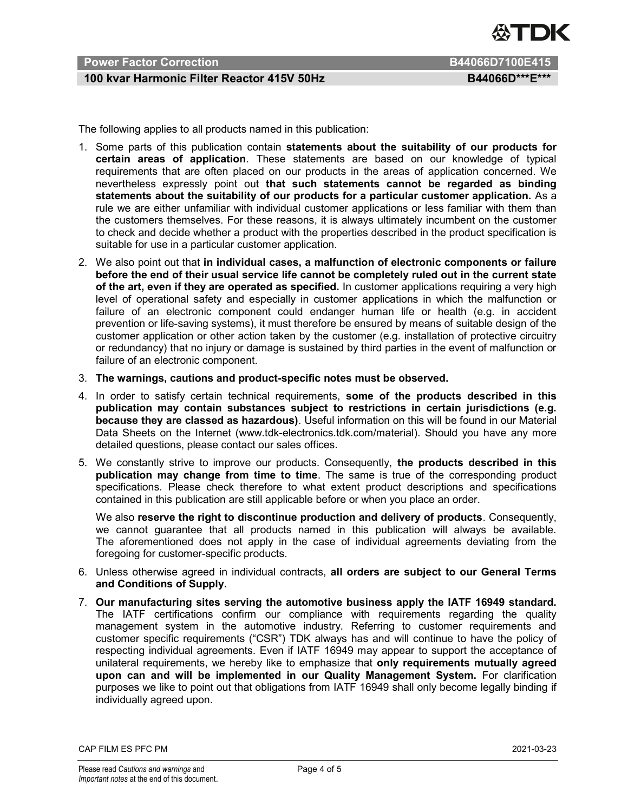

# Power Factor Correction B44066D7100E415

# 100 kvar Harmonic Filter Reactor 415V 50Hz BA4066D\*\*\*E\*\*\*

The following applies to all products named in this publication:

- 1. Some parts of this publication contain statements about the suitability of our products for certain areas of application. These statements are based on our knowledge of typical requirements that are often placed on our products in the areas of application concerned. We nevertheless expressly point out that such statements cannot be regarded as binding statements about the suitability of our products for a particular customer application. As a rule we are either unfamiliar with individual customer applications or less familiar with them than the customers themselves. For these reasons, it is always ultimately incumbent on the customer to check and decide whether a product with the properties described in the product specification is suitable for use in a particular customer application.
- 2. We also point out that in individual cases, a malfunction of electronic components or failure before the end of their usual service life cannot be completely ruled out in the current state of the art, even if they are operated as specified. In customer applications requiring a very high level of operational safety and especially in customer applications in which the malfunction or failure of an electronic component could endanger human life or health (e.g. in accident prevention or life-saving systems), it must therefore be ensured by means of suitable design of the customer application or other action taken by the customer (e.g. installation of protective circuitry or redundancy) that no injury or damage is sustained by third parties in the event of malfunction or failure of an electronic component.
- 3. The warnings, cautions and product-specific notes must be observed.
- 4. In order to satisfy certain technical requirements, some of the products described in this publication may contain substances subject to restrictions in certain jurisdictions (e.g. because they are classed as hazardous). Useful information on this will be found in our Material Data Sheets on the Internet (www.tdk-electronics.tdk.com/material). Should you have any more detailed questions, please contact our sales offices.
- 5. We constantly strive to improve our products. Consequently, the products described in this publication may change from time to time. The same is true of the corresponding product specifications. Please check therefore to what extent product descriptions and specifications contained in this publication are still applicable before or when you place an order.

We also reserve the right to discontinue production and delivery of products. Consequently, we cannot guarantee that all products named in this publication will always be available. The aforementioned does not apply in the case of individual agreements deviating from the foregoing for customer-specific products.

- 6. Unless otherwise agreed in individual contracts, all orders are subject to our General Terms and Conditions of Supply.
- 7. Our manufacturing sites serving the automotive business apply the IATF 16949 standard. The IATF certifications confirm our compliance with requirements regarding the quality management system in the automotive industry. Referring to customer requirements and customer specific requirements ("CSR") TDK always has and will continue to have the policy of respecting individual agreements. Even if IATF 16949 may appear to support the acceptance of unilateral requirements, we hereby like to emphasize that only requirements mutually agreed upon can and will be implemented in our Quality Management System. For clarification purposes we like to point out that obligations from IATF 16949 shall only become legally binding if individually agreed upon.